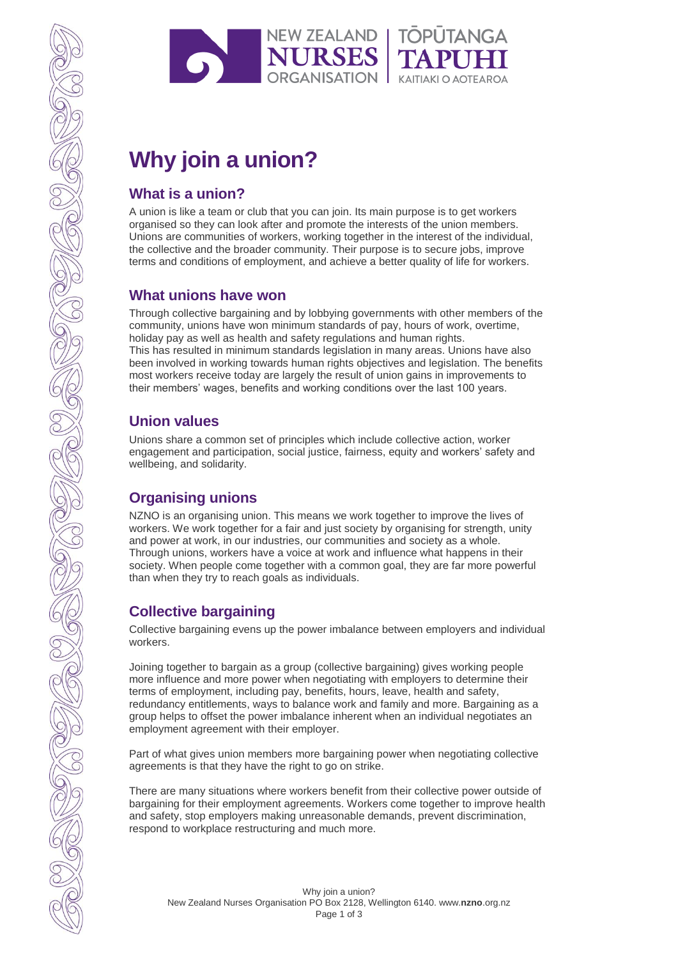

# **Why join a union?**

## **What is a union?**

A union is like a team or club that you can join. Its main purpose is to get workers organised so they can look after and promote the interests of the union members. Unions are communities of workers, working together in the interest of the individual, the collective and the broader community. Their purpose is to secure jobs, improve terms and conditions of employment, and achieve a better quality of life for workers.

## **What unions have won**

Through collective bargaining and by lobbying governments with other members of the community, unions have won minimum standards of pay, hours of work, overtime, holiday pay as well as health and safety regulations and human rights. This has resulted in minimum standards legislation in many areas. Unions have also been involved in working towards human rights objectives and legislation. The benefits most workers receive today are largely the result of union gains in improvements to their members' wages, benefits and working conditions over the last 100 years.

## **Union values**

Unions share a common set of principles which include collective action, worker engagement and participation, social justice, fairness, equity and workers' safety and wellbeing, and solidarity.

# **Organising unions**

NZNO is an organising union. This means we work together to improve the lives of workers. We work together for a fair and just society by organising for strength, unity and power at work, in our industries, our communities and society as a whole. Through unions, workers have a voice at work and influence what happens in their society. When people come together with a common goal, they are far more powerful than when they try to reach goals as individuals.

# **Collective bargaining**

Collective bargaining evens up the power imbalance between employers and individual workers.

Joining together to bargain as a group (collective bargaining) gives working people more influence and more power when negotiating with employers to determine their terms of employment, including pay, benefits, hours, leave, health and safety, redundancy entitlements, ways to balance work and family and more. Bargaining as a group helps to offset the power imbalance inherent when an individual negotiates an employment agreement with their employer.

Part of what gives union members more bargaining power when negotiating collective agreements is that they have the right to go on strike.

There are many situations where workers benefit from their collective power outside of bargaining for their employment agreements. Workers come together to improve health and safety, stop employers making unreasonable demands, prevent discrimination, respond to workplace restructuring and much more.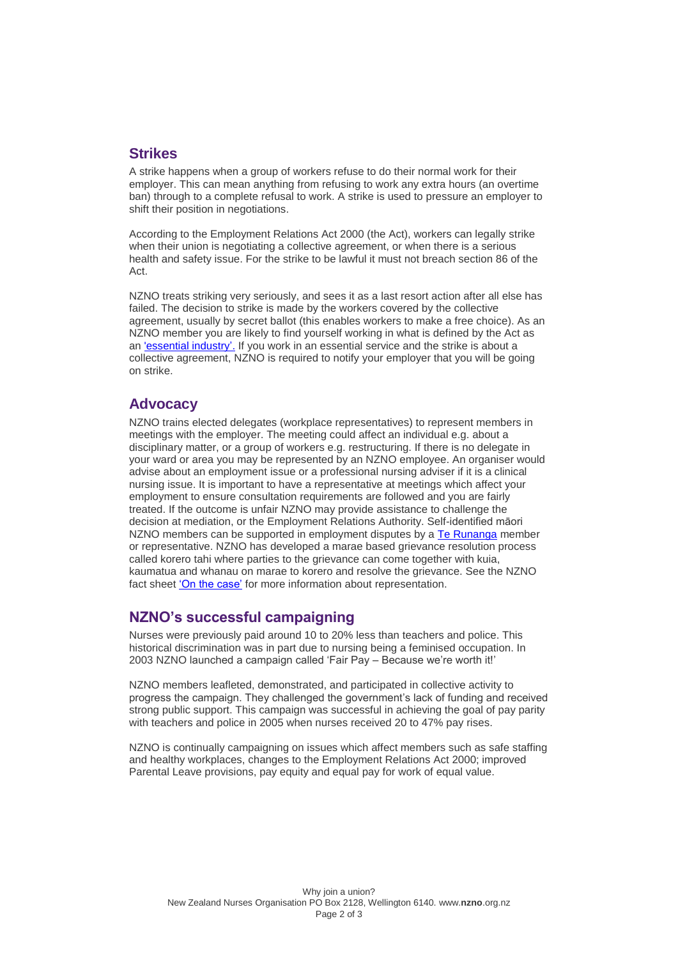### **Strikes**

A strike happens when a group of workers refuse to do their normal work for their employer. This can mean anything from refusing to work any extra hours (an overtime ban) through to a complete refusal to work. A strike is used to pressure an employer to shift their position in negotiations.

According to the Employment Relations Act 2000 (the Act), workers can legally strike when their union is negotiating a collective agreement, or when there is a serious health and safety issue. For the strike to be lawful it must not breach section 86 of the Act.

NZNO treats striking very seriously, and sees it as a last resort action after all else has failed. The decision to strike is made by the workers covered by the collective agreement, usually by secret ballot (this enables workers to make a free choice). As an NZNO member you are likely to find yourself working in what is defined by the Act as an ['essential industry'.](http://www.legislation.govt.nz/act/public/2000/0024/latest/whole.html#DLM61702) If you work in an essential service and the strike is about a collective agreement, NZNO is required to notify your employer that you will be going on strike.

### **Advocacy**

NZNO trains elected delegates (workplace representatives) to represent members in meetings with the employer. The meeting could affect an individual e.g. about a disciplinary matter, or a group of workers e.g. restructuring. If there is no delegate in your ward or area you may be represented by an NZNO employee. An organiser would advise about an employment issue or a professional nursing adviser if it is a clinical nursing issue. It is important to have a representative at meetings which affect your employment to ensure consultation requirements are followed and you are fairly treated. If the outcome is unfair NZNO may provide assistance to challenge the decision at mediation, or the Employment Relations Authority. Self-identified māori NZNO members can be supported in employment disputes by a [Te Runanga](http://www.nzno.org.nz/groups/te_runanga) member or representative. NZNO has developed a marae based grievance resolution process called korero tahi where parties to the grievance can come together with kuia, kaumatua and whanau on marae to korero and resolve the grievance. See the NZNO fact sheet ['On the case'](http://www.nzno.org.nz/Portals/0/publications/On%20the%20Case2.pdf) for more information about representation.

## **NZNO's successful campaigning**

Nurses were previously paid around 10 to 20% less than teachers and police. This historical discrimination was in part due to nursing being a feminised occupation. In 2003 NZNO launched a campaign called 'Fair Pay – Because we're worth it!'

NZNO members leafleted, demonstrated, and participated in collective activity to progress the campaign. They challenged the government's lack of funding and received strong public support. This campaign was successful in achieving the goal of pay parity with teachers and police in 2005 when nurses received 20 to 47% pay rises.

NZNO is continually campaigning on issues which affect members such as safe staffing and healthy workplaces, changes to the Employment Relations Act 2000; improved Parental Leave provisions, pay equity and equal pay for work of equal value.